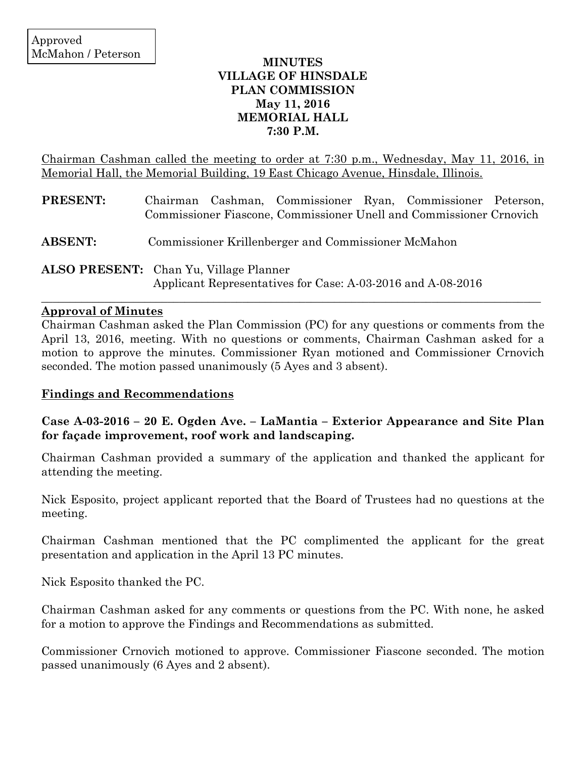## **MINUTES VILLAGE OF HINSDALE PLAN COMMISSION May 11, 2016 MEMORIAL HALL 7:30 P.M.**

Chairman Cashman called the meeting to order at 7:30 p.m., Wednesday, May 11, 2016, in Memorial Hall, the Memorial Building, 19 East Chicago Avenue, Hinsdale, Illinois.

| <b>PRESENT:</b> | Chairman Cashman, Commissioner Ryan, Commissioner Peterson,<br>Commissioner Fiascone, Commissioner Unell and Commissioner Crnovich |
|-----------------|------------------------------------------------------------------------------------------------------------------------------------|
| <b>ABSENT:</b>  | Commissioner Krillenberger and Commissioner McMahon                                                                                |
|                 | <b>ALSO PRESENT:</b> Chan Yu, Village Planner<br>Applicant Representatives for Case: A-03-2016 and A-08-2016                       |

## **Approval of Minutes**

Chairman Cashman asked the Plan Commission (PC) for any questions or comments from the April 13, 2016, meeting. With no questions or comments, Chairman Cashman asked for a motion to approve the minutes. Commissioner Ryan motioned and Commissioner Crnovich seconded. The motion passed unanimously (5 Ayes and 3 absent).

 $\_$  , and the set of the set of the set of the set of the set of the set of the set of the set of the set of the set of the set of the set of the set of the set of the set of the set of the set of the set of the set of th

## **Findings and Recommendations**

**Case A-03-2016 – 20 E. Ogden Ave. – LaMantia – Exterior Appearance and Site Plan for façade improvement, roof work and landscaping.**

Chairman Cashman provided a summary of the application and thanked the applicant for attending the meeting.

Nick Esposito, project applicant reported that the Board of Trustees had no questions at the meeting.

Chairman Cashman mentioned that the PC complimented the applicant for the great presentation and application in the April 13 PC minutes.

Nick Esposito thanked the PC.

Chairman Cashman asked for any comments or questions from the PC. With none, he asked for a motion to approve the Findings and Recommendations as submitted.

Commissioner Crnovich motioned to approve. Commissioner Fiascone seconded. The motion passed unanimously (6 Ayes and 2 absent).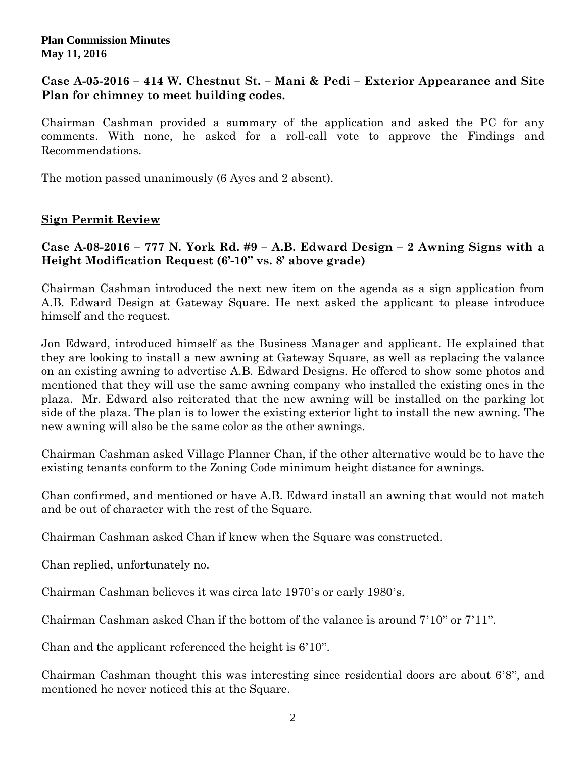### **Plan Commission Minutes May 11, 2016**

## **Case A-05-2016 – 414 W. Chestnut St. – Mani & Pedi – Exterior Appearance and Site Plan for chimney to meet building codes.**

Chairman Cashman provided a summary of the application and asked the PC for any comments. With none, he asked for a roll-call vote to approve the Findings and Recommendations.

The motion passed unanimously (6 Ayes and 2 absent).

# **Sign Permit Review**

# **Case A-08-2016 – 777 N. York Rd. #9 – A.B. Edward Design – 2 Awning Signs with a Height Modification Request (6'-10" vs. 8' above grade)**

Chairman Cashman introduced the next new item on the agenda as a sign application from A.B. Edward Design at Gateway Square. He next asked the applicant to please introduce himself and the request.

Jon Edward, introduced himself as the Business Manager and applicant. He explained that they are looking to install a new awning at Gateway Square, as well as replacing the valance on an existing awning to advertise A.B. Edward Designs. He offered to show some photos and mentioned that they will use the same awning company who installed the existing ones in the plaza. Mr. Edward also reiterated that the new awning will be installed on the parking lot side of the plaza. The plan is to lower the existing exterior light to install the new awning. The new awning will also be the same color as the other awnings.

Chairman Cashman asked Village Planner Chan, if the other alternative would be to have the existing tenants conform to the Zoning Code minimum height distance for awnings.

Chan confirmed, and mentioned or have A.B. Edward install an awning that would not match and be out of character with the rest of the Square.

Chairman Cashman asked Chan if knew when the Square was constructed.

Chan replied, unfortunately no.

Chairman Cashman believes it was circa late 1970's or early 1980's.

Chairman Cashman asked Chan if the bottom of the valance is around 7'10" or 7'11".

Chan and the applicant referenced the height is 6'10".

Chairman Cashman thought this was interesting since residential doors are about 6'8", and mentioned he never noticed this at the Square.